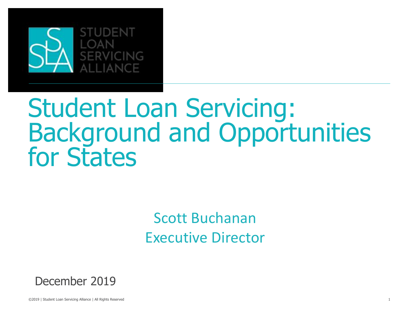

## Student Loan Servicing: Background and Opportunities for States

Scott Buchanan Executive Director



©2019 | Student Loan Servicing Alliance | All Rights Reserved 1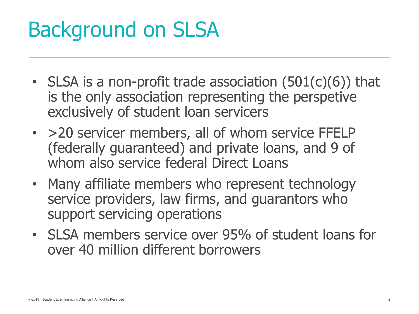## Background on SLSA

- SLSA is a non-profit trade association  $(501(c)(6))$  that is the only association representing the perspetive exclusively of student loan servicers
- > 20 servicer members, all of whom service FFELP (federally guaranteed) and private loans, and 9 of whom also service federal Direct Loans
- Many affiliate members who represent technology service providers, law firms, and guarantors who support servicing operations
- SLSA members service over 95% of student loans for over 40 million different borrowers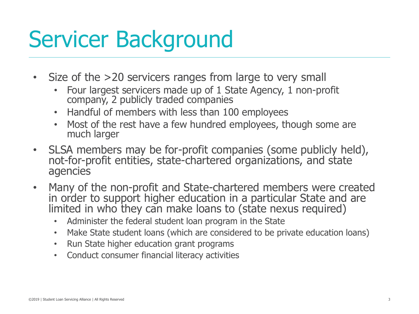## Servicer Background

- Size of the >20 servicers ranges from large to very small
	- Four largest servicers made up of 1 State Agency, 1 non-profit company, 2 publicly traded companies
	- Handful of members with less than 100 employees
	- Most of the rest have a few hundred employees, though some are much larger
- SLSA members may be for-profit companies (some publicly held), not-for-profit entities, state-chartered organizations, and state agencies
- Many of the non-profit and State-chartered members were created in order to support higher education in a particular State and are limited in who they can make loans to (state nexus required)
	- Administer the federal student loan program in the State
	- Make State student loans (which are considered to be private education loans)
	- Run State higher education grant programs
	- Conduct consumer financial literacy activities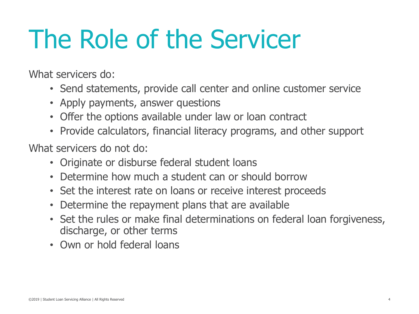# The Role of the Servicer

What servicers do:

- Send statements, provide call center and online customer service
- Apply payments, answer questions
- Offer the options available under law or loan contract
- Provide calculators, financial literacy programs, and other support

What servicers do not do:

- Originate or disburse federal student loans
- Determine how much a student can or should borrow
- Set the interest rate on loans or receive interest proceeds
- Determine the repayment plans that are available
- Set the rules or make final determinations on federal loan forgiveness, discharge, or other terms
- Own or hold federal loans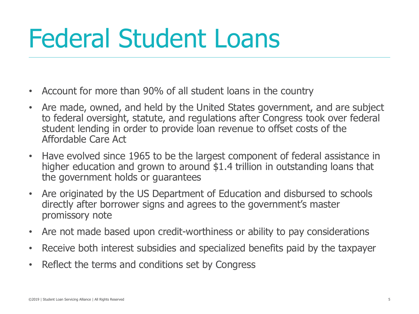# Federal Student Loans

- Account for more than 90% of all student loans in the country
- Are made, owned, and held by the United States government, and are subject to federal oversight, statute, and regulations after Congress took over federal student lending in order to provide loan revenue to offset costs of the Affordable Care Act
- Have evolved since 1965 to be the largest component of federal assistance in higher education and grown to around \$1.4 trillion in outstanding loans that the government holds or guarantees
- Are originated by the US Department of Education and disbursed to schools directly after borrower signs and agrees to the government's master promissory note
- Are not made based upon credit-worthiness or ability to pay considerations
- Receive both interest subsidies and specialized benefits paid by the taxpayer
- Reflect the terms and conditions set by Congress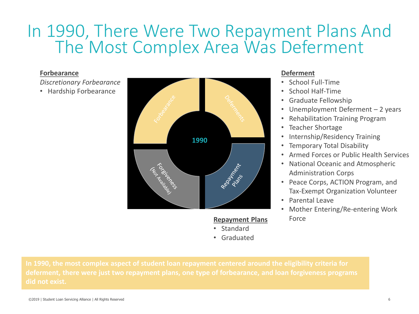## In 1990, There Were Two Repayment Plans And The Most Complex Area Was Deferment

### **Forbearance**

*Discretionary Forbearance*

• Hardship Forbearance



### **Repayment Plans**

- Standard
- Graduated

## **Deferment**

- School Full-Time
- School Half-Time
- Graduate Fellowship
- Unemployment Deferment 2 years
- Rehabilitation Training Program
- Teacher Shortage
- Internship/Residency Training
- Temporary Total Disability
- Armed Forces or Public Health Services
- National Oceanic and Atmospheric Administration Corps
- Peace Corps, ACTION Program, and Tax-Exempt Organization Volunteer
- Parental Leave
- Mother Entering/Re-entering Work Force

**deferment, there were just two repayment plans, one type of forbearance, and loan forgiveness programs did not exist.**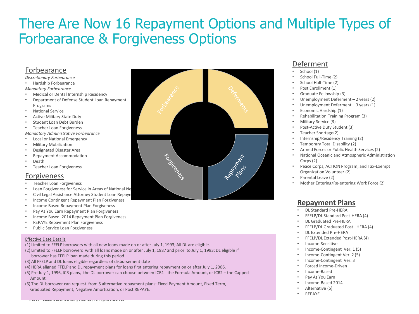## There Are Now 16 Repayment Options and Multiple Types of Forbearance & Forgiveness Options

### Forbearance

- *Discretionary Forbearance*
- Hardship Forbearance *Mandatory Forbearance*
- Medical or Dental Internship Residency
- Department of Defense Student Loan Repayment Programs
- National Service
- Active Military State Duty
- Student Loan Debt Burden
- Teacher Loan Forgiveness

*Mandatory Administrative Forbearance*

- Local or National Emergency
- Military Mobilization
- Designated Disaster Area
- Repayment Accommodation
- Death
- Teacher Loan Forgiveness

### Forgiveness

- Teacher Loan Forgiveness
- Loan Forgiveness for Service in Areas of National Ne
- Civil Legal Assistance Attorney Student Loan Repayn
- Income Contingent Repayment Plan Forgiveness
- Income Based Repayment Plan Forgiveness
- Pay As You Earn Repayment Plan Forgiveness
- Income Based 2014 Repayment Plan Forgiveness

©2019 | Student Loan Servicing Alliance | All Rights Reserved

- REPAYE Repayment Plan Forgiveness
- Public Service Loan Forgiveness

#### Effective Date Details

- (1) Limited to FFELP borrowers with all new loans made on or after July 1, 1993; All DL are eligible.
- (2) Limited to FFELP borrowers with all loans made on or after July 1, 1987 and prior to July 1, 1993; DL eligible if borrower has FFELP loan made during this period.
- (3) All FFELP and DL loans eligible regardless of disbursement date
- (4) HERA aligned FFELP and DL repayment plans for loans first entering repayment on or after July 1, 2006.
- (5) Pre July 1, 1996, ICR plans, the DL borrower can choose between ICR1 the Formula Amount, or ICR2 the Capped Amount.
- (6) The DL borrower can request from 5 alternative repayment plans: Fixed Payment Amount, Fixed Term, Graduated Repayment, Negative Amortization, or Post REPAYE.



## Deferment

- School (1)
- School Full-Time (2)
- School Half-Time (2)
- Post Enrollment (1)
- Graduate Fellowship (3)
- Unemployment Deferment 2 years (2)
- Unemployment Deferment 3 years (1)
- Economic Hardship (1)
- Rehabilitation Training Program (3)
- Military Service (3)
- Post-Active Duty Student (3)
- Teacher Shortage(2)
- Internship/Residency Training (2)
- Temporary Total Disability (2)
- Armed Forces or Public Health Services (2)
- National Oceanic and Atmospheric Administration Corps (2)
- Peace Corps, ACTION Program, and Tax-Exempt Organization Volunteer (2)
- Parental Leave (2)
- Mother Entering/Re-entering Work Force (2)

### **Repayment Plans**

- DL Standard Pre-HERA
- FFELP/DL Standard Post-HERA (4)
- DL Graduated Pre-HERA
- FFELP/DL Graduated Post –HERA (4)
- DL Extended Pre-HERA
- FFELP/DL Extended Post-HERA (4)
- Income-Sensitive
- Income-Contingent Ver. 1 (5)
- Income-Contingent Ver. 2 (5)
- Income-Contingent Ver. 3
- Forced Income-Driven
- Income-Based
- Pay As You Earn
- Income-Based 2014
- Alternative (6)
- REPAYE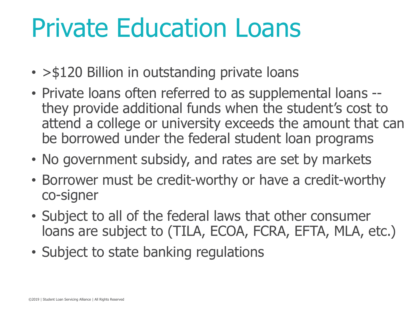# Private Education Loans

- > \$120 Billion in outstanding private loans
- Private loans often referred to as supplemental loans they provide additional funds when the student's cost to attend a college or university exceeds the amount that can be borrowed under the federal student loan programs
- No government subsidy, and rates are set by markets
- Borrower must be credit-worthy or have a credit-worthy co-signer
- Subject to all of the federal laws that other consumer loans are subject to (TILA, ECOA, FCRA, EFTA, MLA, etc.)
- Subject to state banking regulations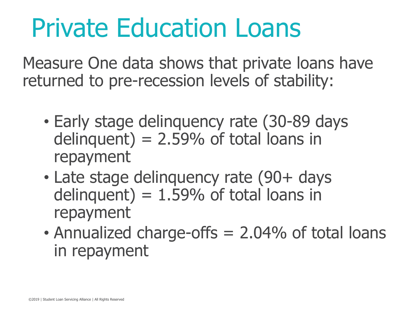# Private Education Loans

Measure One data shows that private loans have returned to pre-recession levels of stability:

- Early stage delinquency rate (30-89 days delinquent) =  $2.59%$  of total loans in repayment
- Late stage delinguency rate (90+ days delinquent) =  $1.59%$  of total loans in repayment
- Annualized charge-offs = 2.04% of total loans in repayment